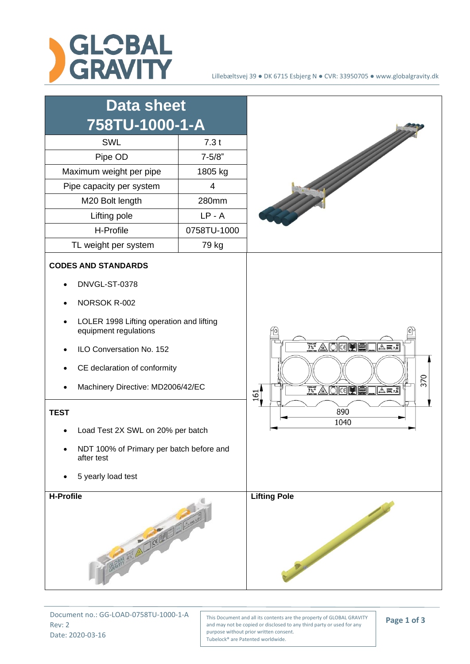



Document no.: GG-LOAD-0758TU-1000-1-A Rev: 2 Date: 2020-03-16

This Document and all its contents are the property of GLOBAL GRAVITY and may not be copied or disclosed to any third party or used for any purpose without prior written consent. Tubelock® are Patented worldwide.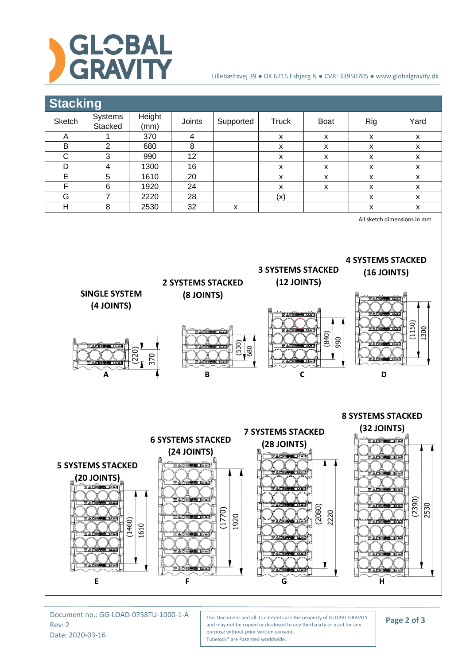

## Lillebæltsvej 39 ● DK 6715 Esbjerg N ● CVR: 33950705 ● www.globalgravity.dk



Document no.: GG-LOAD-0758TU-1000-1-A Rev: 2 Date: 2020-03-16

This Document and all its contents are the property of GLOBAL GRAVITY and may not be copied or disclosed to any third party or used for any purpose without prior written consent. Tubelock® are Patented worldwide.

**Page 2 of 3**